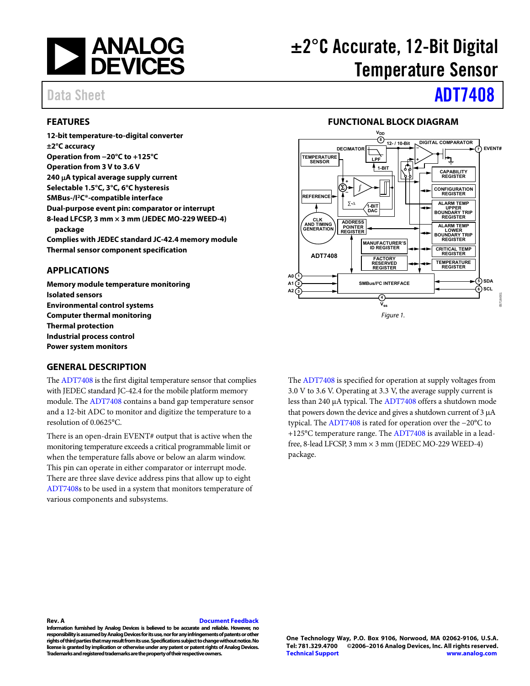

#### <span id="page-0-0"></span>**FEATURES**

**12-bit temperature-to-digital converter ±2°C accuracy Operation from −20°C to +125°C Operation from 3 V to 3.6 V 240 A typical average supply current Selectable 1.5°C, 3°C, 6°C hysteresis SMBus-/I2C®-compatible interface Dual-purpose event pin: comparator or interrupt 8-lead LFCSP, 3 mm × 3 mm (JEDEC MO-229 WEED-4) package Complies with JEDEC standard JC-42.4 memory module** 

**Thermal sensor component specification** 

#### <span id="page-0-1"></span>**APPLICATIONS**

**Memory module temperature monitoring Isolated sensors Environmental control systems Computer thermal monitoring Thermal protection Industrial process control Power system monitors** 

#### <span id="page-0-3"></span>**GENERAL DESCRIPTION**

Th[e ADT7408 i](http://www.analog.com/ADT7408?doc=ADT7408.pdf)s the first digital temperature sensor that complies with JEDEC standard JC-42.4 for the mobile platform memory module. Th[e ADT7408 c](http://www.analog.com/ADT7408?doc=ADT7408.pdf)ontains a band gap temperature sensor and a 12-bit ADC to monitor and digitize the temperature to a resolution of 0.0625°C.

There is an open-drain EVENT# output that is active when the monitoring temperature exceeds a critical programmable limit or when the temperature falls above or below an alarm window. This pin can operate in either comparator or interrupt mode. There are three slave device address pins that allow up to eight [ADT7408s](http://www.analog.com/ADT7408?doc=ADT7408.pdf) to be used in a system that monitors temperature of various components and subsystems.

# ±2°C Accurate, 12-Bit Digital Temperature Sensor

# Data Sheet **[ADT7408](http://www.analog.com/ADT7408?doc=ADT7408.pdf)**

#### **FUNCTIONAL BLOCK DIAGRAM**

<span id="page-0-2"></span>

The [ADT7408](http://www.analog.com/ADT7408?doc=ADT7408.pdf) is specified for operation at supply voltages from 3.0 V to 3.6 V. Operating at 3.3 V, the average supply current is less than 240 μA typical. The [ADT7408](http://www.analog.com/ADT7408?doc=ADT7408.pdf) offers a shutdown mode that powers down the device and gives a shutdown current of  $3 \mu A$ typical. Th[e ADT7408 i](http://www.analog.com/ADT7408?doc=ADT7408.pdf)s rated for operation over the −20°C to +125°C temperature range. The [ADT7408 i](http://www.analog.com/ADT7408?doc=ADT7408.pdf)s available in a leadfree, 8-lead LFCSP, 3 mm × 3 mm (JEDEC MO-229 WEED-4) package.

#### **Rev. A [Document Feedback](https://form.analog.com/Form_Pages/feedback/documentfeedback.aspx?doc=ADT7408.pdf&product=ADT7408&rev=A)**

**Information furnished by Analog Devices is believed to be accurate and reliable. However, no responsibility is assumed by Analog Devices for its use, nor for any infringements of patents or other rights of third parties that may result from its use. Specifications subject to change without notice. No license is granted by implication or otherwise under any patent or patent rights of Analog Devices. Trademarks and registered trademarks are the property of their respective owners.**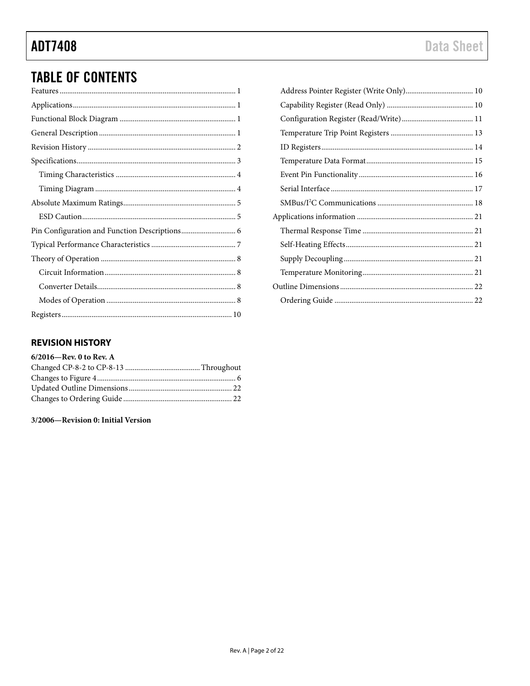## **TABLE OF CONTENTS**

#### <span id="page-1-0"></span>**REVISION HISTORY**

3/2006-Revision 0: Initial Version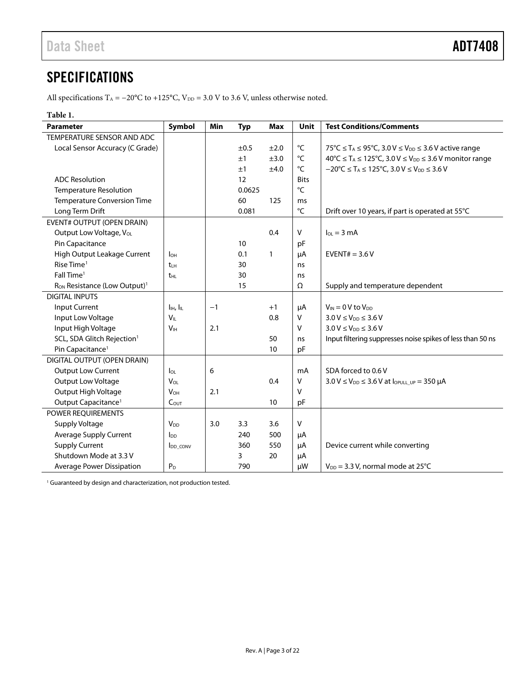## <span id="page-2-0"></span>**SPECIFICATIONS**

All specifications T<sub>A</sub> = −20°C to +125°C, V<sub>DD</sub> = 3.0 V to 3.6 V, unless otherwise noted.

#### **Table 1.**

| <b>Parameter</b>                                     | Symbol                            | Min  | <b>Typ</b> | Max          | Unit        | <b>Test Conditions/Comments</b>                                                               |
|------------------------------------------------------|-----------------------------------|------|------------|--------------|-------------|-----------------------------------------------------------------------------------------------|
| TEMPERATURE SENSOR AND ADC                           |                                   |      |            |              |             |                                                                                               |
| Local Sensor Accuracy (C Grade)                      |                                   |      | ±0.5       | ±2.0         | °C          | 75°C ≤ T <sub>A</sub> ≤ 95°C, 3.0 V ≤ V <sub>DD</sub> ≤ 3.6 V active range                    |
|                                                      |                                   |      | ±1         | ±3.0         | °C          | 40°C ≤ T <sub>A</sub> ≤ 125°C, 3.0 V ≤ V <sub>DD</sub> ≤ 3.6 V monitor range                  |
|                                                      |                                   |      | ±1         | ±4.0         | °C          | $-20^{\circ}$ C $\leq$ T <sub>A</sub> $\leq$ 125°C, 3.0 V $\leq$ V <sub>DD</sub> $\leq$ 3.6 V |
| <b>ADC</b> Resolution                                |                                   |      | 12         |              | <b>Bits</b> |                                                                                               |
| <b>Temperature Resolution</b>                        |                                   |      | 0.0625     |              | °C          |                                                                                               |
| Temperature Conversion Time                          |                                   |      | 60         | 125          | ms          |                                                                                               |
| Long Term Drift                                      |                                   |      | 0.081      |              | °C          | Drift over 10 years, if part is operated at 55°C                                              |
| <b>EVENT# OUTPUT (OPEN DRAIN)</b>                    |                                   |      |            |              |             |                                                                                               |
| Output Low Voltage, VoL                              |                                   |      |            | 0.4          | v           | $I_{OL} = 3 \text{ mA}$                                                                       |
| Pin Capacitance                                      |                                   |      | 10         |              | pF          |                                                                                               |
| High Output Leakage Current                          | l <sub>OH</sub>                   |      | 0.1        | $\mathbf{1}$ | μA          | EVENT# = $3.6V$                                                                               |
| Rise Time <sup>1</sup>                               | tLH                               |      | 30         |              | ns          |                                                                                               |
| Fall Time <sup>1</sup>                               | t <sub>HL</sub>                   |      | 30         |              | ns          |                                                                                               |
| R <sub>ON</sub> Resistance (Low Output) <sup>1</sup> |                                   |      | 15         |              | Ω           | Supply and temperature dependent                                                              |
| <b>DIGITAL INPUTS</b>                                |                                   |      |            |              |             |                                                                                               |
| Input Current                                        | $I_{\text{IH}}$ , $I_{\text{IL}}$ | $-1$ |            | $+1$         | μA          | $V_{IN} = 0 V$ to $V_{DD}$                                                                    |
| Input Low Voltage                                    | $V_{IL}$                          |      |            | 0.8          | V           | $3.0 V \leq V_{DD} \leq 3.6 V$                                                                |
| Input High Voltage                                   | V <sub>H</sub>                    | 2.1  |            |              | V           | $3.0 V \le V_{DD} \le 3.6 V$                                                                  |
| SCL, SDA Glitch Rejection <sup>1</sup>               |                                   |      |            | 50           | ns          | Input filtering suppresses noise spikes of less than 50 ns                                    |
| Pin Capacitance <sup>1</sup>                         |                                   |      |            | 10           | pF          |                                                                                               |
| DIGITAL OUTPUT (OPEN DRAIN)                          |                                   |      |            |              |             |                                                                                               |
| Output Low Current                                   | $I_{OL}$                          | 6    |            |              | mA          | SDA forced to 0.6 V                                                                           |
| Output Low Voltage                                   | $V_{OL}$                          |      |            | 0.4          | v           | $3.0 \text{ V} \leq V_{DD} \leq 3.6 \text{ V}$ at $I_{OPULL}$ up = 350 µA                     |
| Output High Voltage                                  | <b>V<sub>OH</sub></b>             | 2.1  |            |              | v           |                                                                                               |
| Output Capacitance <sup>1</sup>                      | $C_{OUT}$                         |      |            | 10           | pF          |                                                                                               |
| POWER REQUIREMENTS                                   |                                   |      |            |              |             |                                                                                               |
| Supply Voltage                                       | <b>V<sub>DD</sub></b>             | 3.0  | 3.3        | 3.6          | v           |                                                                                               |
| Average Supply Current                               | $I_{DD}$                          |      | 240        | 500          | μA          |                                                                                               |
| <b>Supply Current</b>                                | <b>IDD CONV</b>                   |      | 360        | 550          | μA          | Device current while converting                                                               |
| Shutdown Mode at 3.3 V                               |                                   |      | 3          | 20           | μA          |                                                                                               |
| Average Power Dissipation                            | P <sub>D</sub>                    |      | 790        |              | μW          | $V_{DD}$ = 3.3 V, normal mode at 25°C                                                         |

<sup>1</sup> Guaranteed by design and characterization, not production tested.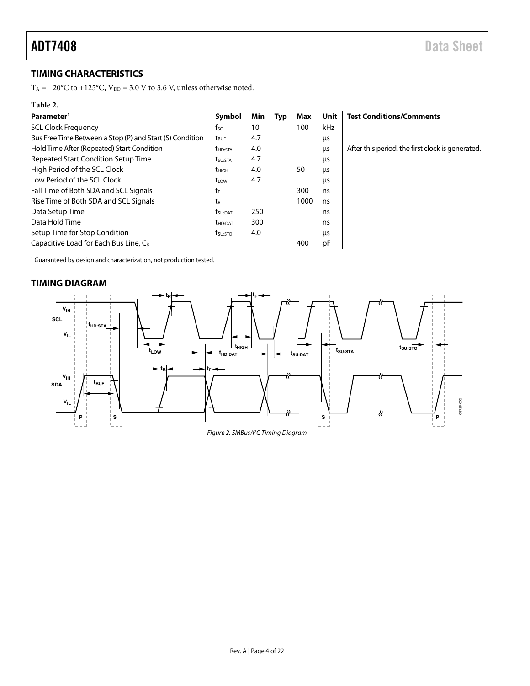### <span id="page-3-0"></span>**TIMING CHARACTERISTICS**

T<sub>A</sub> = −20°C to +125°C, V<sub>DD</sub> = 3.0 V to 3.6 V, unless otherwise noted.

### **Table 2.**

| Parameter <sup>1</sup>                                   | Symbol                  | <b>Min</b> | Typ | Max  | <b>Unit</b> | <b>Test Conditions/Comments</b>                  |
|----------------------------------------------------------|-------------------------|------------|-----|------|-------------|--------------------------------------------------|
| <b>SCL Clock Frequency</b>                               | $f_{\text{SCL}}$        | 10         |     | 100  | kHz         |                                                  |
| Bus Free Time Between a Stop (P) and Start (S) Condition | <b>t</b> <sub>BUF</sub> | 4.7        |     |      | μs          |                                                  |
| Hold Time After (Repeated) Start Condition               | <b>t</b> HD:STA         | 4.0        |     |      | μs          | After this period, the first clock is generated. |
| Repeated Start Condition Setup Time                      | t <sub>su:Sta</sub>     | 4.7        |     |      | μs          |                                                  |
| High Period of the SCL Clock                             | <b>t</b> HIGH           | 4.0        |     | 50   | μs          |                                                  |
| Low Period of the SCL Clock                              | t <sub>LOW</sub>        | 4.7        |     |      | μs          |                                                  |
| Fall Time of Both SDA and SCL Signals                    | tF                      |            |     | 300  | ns          |                                                  |
| Rise Time of Both SDA and SCL Signals                    | tr                      |            |     | 1000 | ns          |                                                  |
| Data Setup Time                                          | t <sub>su:Dat</sub>     | 250        |     |      | ns          |                                                  |
| Data Hold Time                                           | <b>t</b> hd:Dat         | 300        |     |      | ns          |                                                  |
| Setup Time for Stop Condition                            | t <sub>su:Sto</sub>     | 4.0        |     |      | μs          |                                                  |
| Capacitive Load for Each Bus Line, C <sub>B</sub>        |                         |            |     | 400  | рF          |                                                  |

<sup>1</sup> Guaranteed by design and characterization, not production tested.

#### <span id="page-3-1"></span>**TIMING DIAGRAM**



Figure 2. SMBus/I2 C Timing Diagram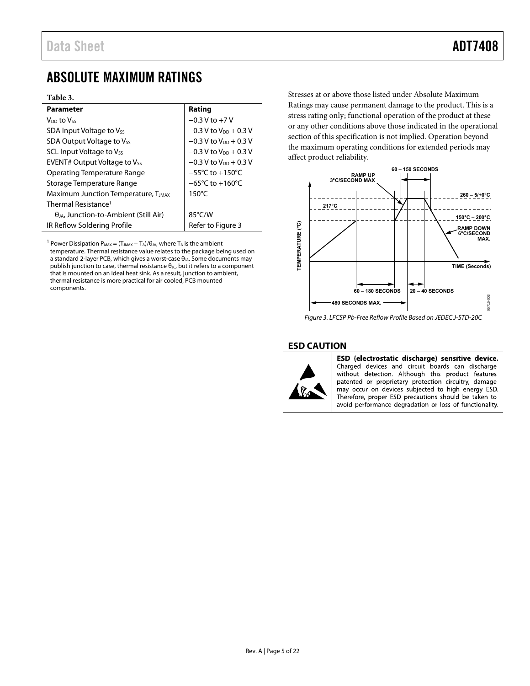### <span id="page-4-0"></span>ABSOLUTE MAXIMUM RATINGS

#### **Table 3.**

| <b>Parameter</b>                                | Rating                               |
|-------------------------------------------------|--------------------------------------|
| V <sub>DD</sub> to Vss                          | $-0.3 V$ to $+7 V$                   |
| SDA Input Voltage to Vss                        | $-0.3$ V to V <sub>pp</sub> $+0.3$ V |
| SDA Output Voltage to Vss                       | $-0.3$ V to V <sub>pp</sub> $+0.3$ V |
| SCL Input Voltage to Vss                        | $-0.3$ V to V <sub>DD</sub> + 0.3 V  |
| <b>EVENT# Output Voltage to Vss</b>             | $-0.3$ V to $V_{DD}$ + 0.3 V         |
| <b>Operating Temperature Range</b>              | $-55^{\circ}$ C to $+150^{\circ}$ C  |
| Storage Temperature Range                       | $-65^{\circ}$ C to $+160^{\circ}$ C  |
| Maximum Junction Temperature, T                 | $150^{\circ}$ C                      |
| Thermal Resistance <sup>1</sup>                 |                                      |
| $\theta_{JA}$ , Junction-to-Ambient (Still Air) | 85°C/W                               |
| IR Reflow Soldering Profile                     | Refer to Figure 3                    |

<sup>1</sup> Power Dissipation  $P_{MAX} = (T_{JMAX} - T_A)/\theta_{JA}$ , where  $T_A$  is the ambient

temperature. Thermal resistance value relates to the package being used on a standard 2-layer PCB, which gives a worst-case  $θ<sub>JA</sub>$ . Some documents may publish junction to case, thermal resistance  $\theta_{JC}$ , but it refers to a component that is mounted on an ideal heat sink. As a result, junction to ambient, thermal resistance is more practical for air cooled, PCB mounted components.

Stresses at or above those listed under Absolute Maximum Ratings may cause permanent damage to the product. This is a stress rating only; functional operation of the product at these or any other conditions above those indicated in the operational section of this specification is not implied. Operation beyond the maximum operating conditions for extended periods may affect product reliability.



<span id="page-4-2"></span>Figure 3. LFCSP Pb-Free Reflow Profile Based on JEDEC J-STD-20C

#### <span id="page-4-1"></span>**ESD CAUTION**



ESD (electrostatic discharge) sensitive device. Charged devices and circuit boards can discharge without detection. Although this product features patented or proprietary protection circuitry, damage may occur on devices subjected to high energy ESD. Therefore, proper ESD precautions should be taken to avoid performance degradation or loss of functionality.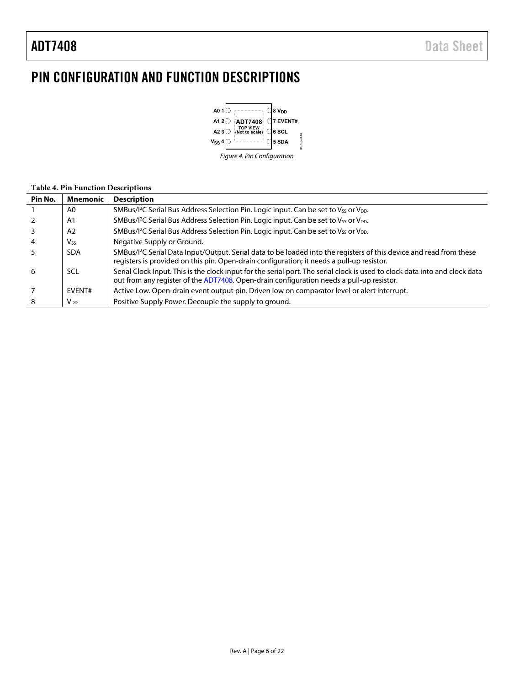## <span id="page-5-0"></span>PIN CONFIGURATION AND FUNCTION DESCRIPTIONS



#### **Table 4. Pin Function Descriptions**

| Pin No. | <b>Mnemonic</b>       | <b>Description</b>                                                                                                                                                                                                           |
|---------|-----------------------|------------------------------------------------------------------------------------------------------------------------------------------------------------------------------------------------------------------------------|
|         | A0                    | SMBus/I <sup>2</sup> C Serial Bus Address Selection Pin. Logic input. Can be set to V <sub>SS</sub> or V <sub>DD</sub> .                                                                                                     |
|         | A1                    | SMBus/l <sup>2</sup> C Serial Bus Address Selection Pin. Logic input. Can be set to Vss or V <sub>DD</sub> .                                                                                                                 |
|         | A <sub>2</sub>        | SMBus/I <sup>2</sup> C Serial Bus Address Selection Pin. Logic input. Can be set to V <sub>SS</sub> or V <sub>DD</sub> .                                                                                                     |
|         | <b>V<sub>ss</sub></b> | Negative Supply or Ground.                                                                                                                                                                                                   |
|         | <b>SDA</b>            | SMBus/I <sup>2</sup> C Serial Data Input/Output. Serial data to be loaded into the registers of this device and read from these<br>registers is provided on this pin. Open-drain configuration; it needs a pull-up resistor. |
| 6       | SCL                   | Serial Clock Input. This is the clock input for the serial port. The serial clock is used to clock data into and clock data<br>out from any register of the ADT7408. Open-drain configuration needs a pull-up resistor.      |
|         | EVENT#                | Active Low. Open-drain event output pin. Driven low on comparator level or alert interrupt.                                                                                                                                  |
| 8       | V <sub>DD</sub>       | Positive Supply Power. Decouple the supply to ground.                                                                                                                                                                        |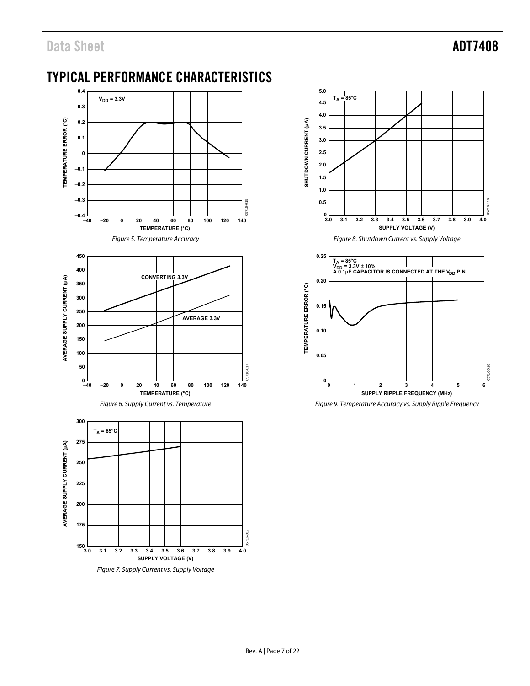### <span id="page-6-0"></span>TYPICAL PERFORMANCE CHARACTERISTICS





Figure 7. Supply Current vs. Supply Voltage



Figure 8. Shutdown Current vs. Supply Voltage



Figure 9. Temperature Accuracy vs. Supply Ripple Frequency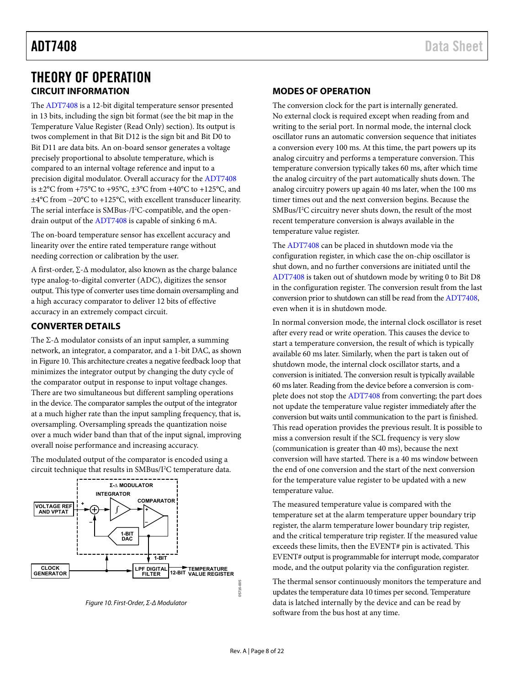### <span id="page-7-0"></span>THEORY OF OPERATION **CIRCUIT INFORMATION**

<span id="page-7-1"></span>The [ADT7408](http://www.analog.com/ADT7408?doc=ADT7408.pdf) is a 12-bit digital temperature sensor presented in 13 bits, including the sign bit format (see the bit map in the [Temperature Value Register \(Read Only\)](#page-12-1) section). Its output is twos complement in that Bit D12 is the sign bit and Bit D0 to Bit D11 are data bits. An on-board sensor generates a voltage precisely proportional to absolute temperature, which is compared to an internal voltage reference and input to a precision digital modulator. Overall accuracy for th[e ADT7408](http://www.analog.com/ADT7408?doc=ADT7408.pdf) is  $\pm 2^{\circ}$ C from +75°C to +95°C,  $\pm 3^{\circ}$ C from +40°C to +125°C, and ±4°C from −20°C to +125°C, with excellent transducer linearity. The serial interface is SMBus-/I<sup>2</sup>C-compatible, and the opendrain output of th[e ADT7408 i](http://www.analog.com/ADT7408?doc=ADT7408.pdf)s capable of sinking 6 mA.

The on-board temperature sensor has excellent accuracy and linearity over the entire rated temperature range without needing correction or calibration by the user.

A first-order, ∑-Δ modulator, also known as the charge balance type analog-to-digital converter (ADC), digitizes the sensor output. This type of converter uses time domain oversampling and a high accuracy comparator to deliver 12 bits of effective accuracy in an extremely compact circuit.

#### <span id="page-7-2"></span>**CONVERTER DETAILS**

The  $\Sigma$ - $\Delta$  modulator consists of an input sampler, a summing network, an integrator, a comparator, and a 1-bit DAC, as shown i[n Figure 10.](#page-7-4) This architecture creates a negative feedback loop that minimizes the integrator output by changing the duty cycle of the comparator output in response to input voltage changes. There are two simultaneous but different sampling operations in the device. The comparator samples the output of the integrator at a much higher rate than the input sampling frequency, that is, oversampling. Oversampling spreads the quantization noise over a much wider band than that of the input signal, improving overall noise performance and increasing accuracy.

The modulated output of the comparator is encoded using a circuit technique that results in SMBus/I<sup>2</sup>C temperature data.



<span id="page-7-4"></span>

#### <span id="page-7-3"></span>**MODES OF OPERATION**

The conversion clock for the part is internally generated. No external clock is required except when reading from and writing to the serial port. In normal mode, the internal clock oscillator runs an automatic conversion sequence that initiates a conversion every 100 ms. At this time, the part powers up its analog circuitry and performs a temperature conversion. This temperature conversion typically takes 60 ms, after which time the analog circuitry of the part automatically shuts down. The analog circuitry powers up again 40 ms later, when the 100 ms timer times out and the next conversion begins. Because the SMBus/I<sup>2</sup>C circuitry never shuts down, the result of the most recent temperature conversion is always available in the temperature value register.

The [ADT7408](http://www.analog.com/ADT7408?doc=ADT7408.pdf) can be placed in shutdown mode via the configuration register, in which case the on-chip oscillator is shut down, and no further conversions are initiated until the [ADT7408 i](http://www.analog.com/ADT7408?doc=ADT7408.pdf)s taken out of shutdown mode by writing 0 to Bit D8 in the configuration register. The conversion result from the last conversion prior to shutdown can still be read from th[e ADT7408,](http://www.analog.com/ADT7408?doc=ADT7408.pdf)  even when it is in shutdown mode.

In normal conversion mode, the internal clock oscillator is reset after every read or write operation. This causes the device to start a temperature conversion, the result of which is typically available 60 ms later. Similarly, when the part is taken out of shutdown mode, the internal clock oscillator starts, and a conversion is initiated. The conversion result is typically available 60 ms later. Reading from the device before a conversion is complete does not stop th[e ADT7408](http://www.analog.com/ADT7408?doc=ADT7408.pdf) from converting; the part does not update the temperature value register immediately after the conversion but waits until communication to the part is finished. This read operation provides the previous result. It is possible to miss a conversion result if the SCL frequency is very slow (communication is greater than 40 ms), because the next conversion will have started. There is a 40 ms window between the end of one conversion and the start of the next conversion for the temperature value register to be updated with a new temperature value.

The measured temperature value is compared with the temperature set at the alarm temperature upper boundary trip register, the alarm temperature lower boundary trip register, and the critical temperature trip register. If the measured value exceeds these limits, then the EVENT# pin is activated. This EVENT# output is programmable for interrupt mode, comparator mode, and the output polarity via the configuration register.

The thermal sensor continuously monitors the temperature and updates the temperature data 10 times per second. Temperature data is latched internally by the device and can be read by software from the bus host at any time.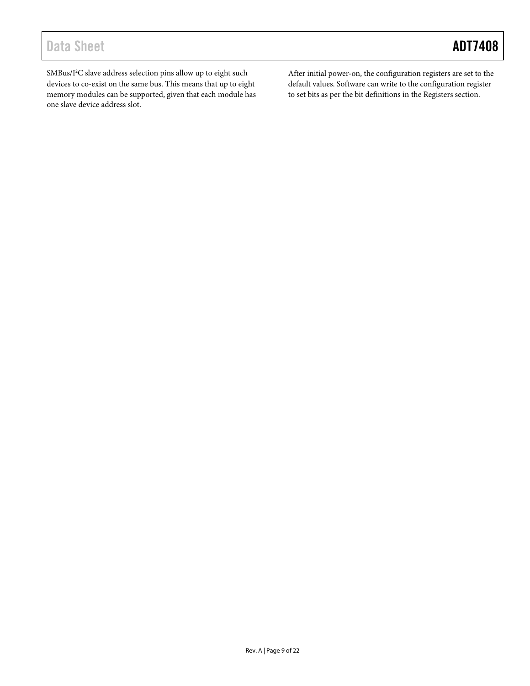## Data Sheet **ADT7408**

SMBus/I<sup>2</sup>C slave address selection pins allow up to eight such devices to co-exist on the same bus. This means that up to eight memory modules can be supported, given that each module has one slave device address slot.

After initial power-on, the configuration registers are set to the default values. Software can write to the configuration register to set bits as per the bit definitions in th[e Registers](#page-9-0) section.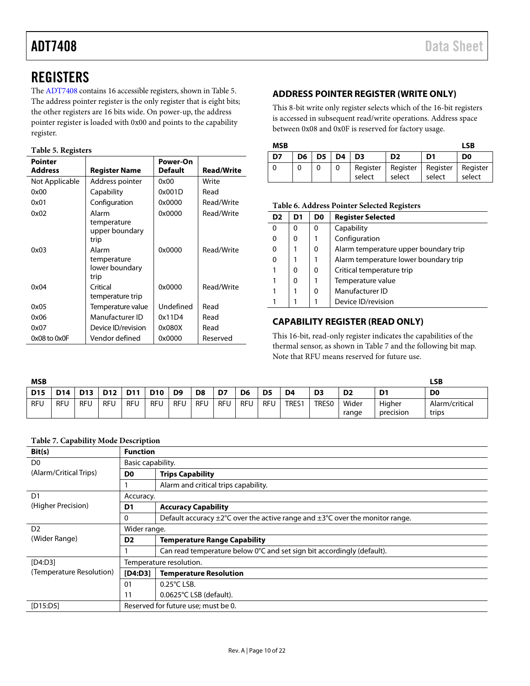## <span id="page-9-0"></span>**REGISTERS**

Th[e ADT7408](http://www.analog.com/ADT7408?doc=ADT7408.pdf) contains 16 accessible registers, shown i[n Table](#page-9-3) 5. The address pointer register is the only register that is eight bits; the other registers are 16 bits wide. On power-up, the address pointer register is loaded with 0x00 and points to the capability register.

#### <span id="page-9-3"></span>**Table 5. Registers**

| <b>Pointer</b> |                        | Power-On       |                   |
|----------------|------------------------|----------------|-------------------|
| <b>Address</b> | <b>Register Name</b>   | <b>Default</b> | <b>Read/Write</b> |
| Not Applicable | Address pointer        | 0x00           | Write             |
| 0x00           | Capability             | 0x001D         | Read              |
| 0x01           | Configuration          | 0x0000         | Read/Write        |
| 0x02           | Alarm                  | 0x0000         | Read/Write        |
|                | temperature            |                |                   |
|                | upper boundary<br>trip |                |                   |
|                |                        |                |                   |
| 0x03           | Alarm<br>temperature   | 0x0000         | Read/Write        |
|                | lower boundary         |                |                   |
|                | trip                   |                |                   |
| 0x04           | Critical               | 0x0000         | Read/Write        |
|                | temperature trip       |                |                   |
| 0x05           | Temperature value      | Undefined      | Read              |
| 0x06           | Manufacturer ID        | 0x11D4         | Read              |
| 0x07           | Device ID/revision     | 0x080X         | Read              |
| 0x08 to 0x0F   | Vendor defined         | 0x0000         | Reserved          |

### <span id="page-9-1"></span>**ADDRESS POINTER REGISTER (WRITE ONLY)**

This 8-bit write only register selects which of the 16-bit registers is accessed in subsequent read/write operations. Address space between 0x08 and 0x0F is reserved for factory usage.

| <b>MSB</b> |    |                    |        |                                                     |        | LSB    |
|------------|----|--------------------|--------|-----------------------------------------------------|--------|--------|
| D7         | D6 | $D5$   $D4$   $D3$ |        | D <sub>2</sub>                                      | D1     | D0     |
|            |    |                    | select | Register   Register   Register   Register<br>select | select | select |

#### **Table 6. Address Pointer Selected Registers**

| D <sub>2</sub> | D1 | D <sub>0</sub> | <b>Register Selected</b>              |
|----------------|----|----------------|---------------------------------------|
| $\Omega$       | 0  | 0              | Capability                            |
| $\Omega$       | 0  |                | Configuration                         |
| 0              |    | 0              | Alarm temperature upper boundary trip |
| $\Omega$       |    | 1              | Alarm temperature lower boundary trip |
|                | 0  | 0              | Critical temperature trip             |
|                | 0  |                | Temperature value                     |
|                |    | 0              | Manufacturer ID                       |
|                |    |                | Device ID/revision                    |

#### <span id="page-9-2"></span>**CAPABILITY REGISTER (READ ONLY)**

This 16-bit, read-only register indicates the capabilities of the thermal sensor, as shown in [Table 7](#page-9-4) and the following bit map. Note that RFU means reserved for future use.

| <b>MSB</b> |                 |            |            |            |            |                |                |            |                |            |                |                |                |                     | LSB                     |
|------------|-----------------|------------|------------|------------|------------|----------------|----------------|------------|----------------|------------|----------------|----------------|----------------|---------------------|-------------------------|
| <b>D15</b> | D <sub>14</sub> | <b>D13</b> | <b>D12</b> | <b>D11</b> | <b>D10</b> | D <sub>9</sub> | D <sub>8</sub> | D7         | D <sub>6</sub> | D5         | D <sub>4</sub> | D <sub>3</sub> | D <sub>2</sub> | D <sub>1</sub>      | D <sub>0</sub>          |
| RFU        | <b>RFU</b>      | <b>RFU</b> | RFU        | RFU        | RFU        | <b>RFU</b>     | <b>RFU</b>     | <b>RFU</b> | <b>RFU</b>     | <b>RFU</b> | TRES1          | <b>TRES0</b>   | Wider<br>range | Higher<br>precision | Alarm/critical<br>trips |

#### <span id="page-9-4"></span>**Table 7. Capability Mode Description**

| Bit(s)                   |                   | <b>Function</b>                                                                                        |  |  |  |  |  |  |  |
|--------------------------|-------------------|--------------------------------------------------------------------------------------------------------|--|--|--|--|--|--|--|
| D <sub>0</sub>           | Basic capability. |                                                                                                        |  |  |  |  |  |  |  |
| (Alarm/Critical Trips)   | D <sub>0</sub>    | <b>Trips Capability</b>                                                                                |  |  |  |  |  |  |  |
|                          |                   | Alarm and critical trips capability.                                                                   |  |  |  |  |  |  |  |
| D <sub>1</sub>           | Accuracy.         |                                                                                                        |  |  |  |  |  |  |  |
| (Higher Precision)       | D1                | <b>Accuracy Capability</b>                                                                             |  |  |  |  |  |  |  |
|                          | 0                 | Default accuracy $\pm 2^{\circ}$ C over the active range and $\pm 3^{\circ}$ C over the monitor range. |  |  |  |  |  |  |  |
| D <sub>2</sub>           | Wider range.      |                                                                                                        |  |  |  |  |  |  |  |
| (Wider Range)            | D <sub>2</sub>    | <b>Temperature Range Capability</b>                                                                    |  |  |  |  |  |  |  |
|                          |                   | Can read temperature below 0°C and set sign bit accordingly (default).                                 |  |  |  |  |  |  |  |
| [D4:D3]                  |                   | Temperature resolution.                                                                                |  |  |  |  |  |  |  |
| (Temperature Resolution) | [D4:D3]           | <b>Temperature Resolution</b>                                                                          |  |  |  |  |  |  |  |
|                          | 01                | $0.25^{\circ}$ C LSB.                                                                                  |  |  |  |  |  |  |  |
|                          | 11                | 0.0625°C LSB (default).                                                                                |  |  |  |  |  |  |  |
| [D15:D5]                 |                   | Reserved for future use; must be 0.                                                                    |  |  |  |  |  |  |  |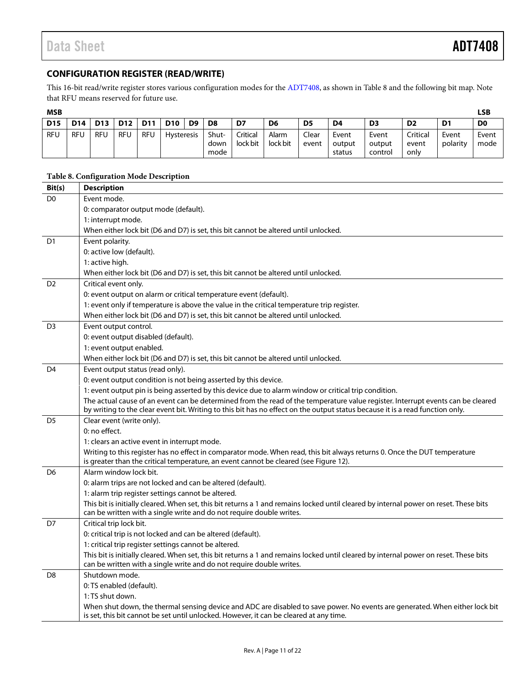### <span id="page-10-0"></span>**CONFIGURATION REGISTER (READ/WRITE)**

This 16-bit read/write register stores various configuration modes for th[e ADT7408,](http://www.analog.com/ADT7408?doc=ADT7408.pdf) as shown in [Table 8](#page-10-1) and the following bit map. Note that RFU means reserved for future use.

| ۰.<br>۰. |
|----------|
|----------|

| <b>MSB</b> |                 |                 |                 |            |                   |                |                       |                      |                   |                |                           |                            |                           |                   | LSB            |
|------------|-----------------|-----------------|-----------------|------------|-------------------|----------------|-----------------------|----------------------|-------------------|----------------|---------------------------|----------------------------|---------------------------|-------------------|----------------|
| <b>D15</b> | D <sub>14</sub> | D <sub>13</sub> | D <sub>12</sub> | D11        | <b>D10</b>        | D <sub>9</sub> | D8                    | D7                   | D6                | D <sub>5</sub> | D4                        | D <sub>3</sub>             | D <sub>2</sub>            | D <sub>1</sub>    | D <sub>0</sub> |
| <b>RFU</b> | <b>RFU</b>      | <b>RFU</b>      | <b>RFU</b>      | <b>RFU</b> | <b>Hysteresis</b> |                | Shut-<br>down<br>mode | Critical<br>lock bit | Alarm<br>lock bit | Clear<br>event | Event<br>output<br>status | Event<br>output<br>control | Critical<br>event<br>only | Event<br>polarity | Event<br>mode  |

#### <span id="page-10-1"></span>**Table 8. Configuration Mode Description**

| Bit(s)         | <b>Description</b>                                                                                                                                                                                                                                               |
|----------------|------------------------------------------------------------------------------------------------------------------------------------------------------------------------------------------------------------------------------------------------------------------|
| D <sub>0</sub> | Event mode.                                                                                                                                                                                                                                                      |
|                | 0: comparator output mode (default).                                                                                                                                                                                                                             |
|                | 1: interrupt mode.                                                                                                                                                                                                                                               |
|                | When either lock bit (D6 and D7) is set, this bit cannot be altered until unlocked.                                                                                                                                                                              |
| D <sub>1</sub> | Event polarity.                                                                                                                                                                                                                                                  |
|                | 0: active low (default).                                                                                                                                                                                                                                         |
|                | 1: active high.                                                                                                                                                                                                                                                  |
|                | When either lock bit (D6 and D7) is set, this bit cannot be altered until unlocked.                                                                                                                                                                              |
| D <sub>2</sub> | Critical event only.                                                                                                                                                                                                                                             |
|                | 0: event output on alarm or critical temperature event (default).                                                                                                                                                                                                |
|                | 1: event only if temperature is above the value in the critical temperature trip register.                                                                                                                                                                       |
|                | When either lock bit (D6 and D7) is set, this bit cannot be altered until unlocked.                                                                                                                                                                              |
| D <sub>3</sub> | Event output control.                                                                                                                                                                                                                                            |
|                | 0: event output disabled (default).                                                                                                                                                                                                                              |
|                | 1: event output enabled.                                                                                                                                                                                                                                         |
|                | When either lock bit (D6 and D7) is set, this bit cannot be altered until unlocked.                                                                                                                                                                              |
| D <sub>4</sub> | Event output status (read only).                                                                                                                                                                                                                                 |
|                | 0: event output condition is not being asserted by this device.                                                                                                                                                                                                  |
|                | 1: event output pin is being asserted by this device due to alarm window or critical trip condition.                                                                                                                                                             |
|                | The actual cause of an event can be determined from the read of the temperature value register. Interrupt events can be cleared<br>by writing to the clear event bit. Writing to this bit has no effect on the output status because it is a read function only. |
| D <sub>5</sub> | Clear event (write only).                                                                                                                                                                                                                                        |
|                | 0: no effect.                                                                                                                                                                                                                                                    |
|                | 1: clears an active event in interrupt mode.                                                                                                                                                                                                                     |
|                | Writing to this register has no effect in comparator mode. When read, this bit always returns 0. Once the DUT temperature<br>is greater than the critical temperature, an event cannot be cleared (see Figure 12).                                               |
| D <sub>6</sub> | Alarm window lock bit.                                                                                                                                                                                                                                           |
|                | 0: alarm trips are not locked and can be altered (default).                                                                                                                                                                                                      |
|                | 1: alarm trip register settings cannot be altered.                                                                                                                                                                                                               |
|                | This bit is initially cleared. When set, this bit returns a 1 and remains locked until cleared by internal power on reset. These bits<br>can be written with a single write and do not require double writes.                                                    |
| D7             | Critical trip lock bit.                                                                                                                                                                                                                                          |
|                | 0: critical trip is not locked and can be altered (default).                                                                                                                                                                                                     |
|                | 1: critical trip register settings cannot be altered.                                                                                                                                                                                                            |
|                | This bit is initially cleared. When set, this bit returns a 1 and remains locked until cleared by internal power on reset. These bits                                                                                                                            |
|                | can be written with a single write and do not require double writes.                                                                                                                                                                                             |
| D <sub>8</sub> | Shutdown mode.                                                                                                                                                                                                                                                   |
|                | 0: TS enabled (default).                                                                                                                                                                                                                                         |
|                | 1: TS shut down.                                                                                                                                                                                                                                                 |
|                | When shut down, the thermal sensing device and ADC are disabled to save power. No events are generated. When either lock bit<br>is set, this bit cannot be set until unlocked. However, it can be cleared at any time.                                           |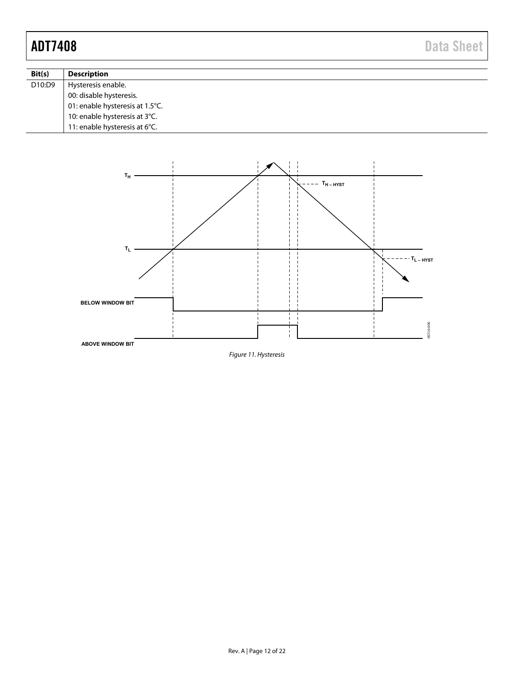| Bit(s) | <b>Description</b>              |
|--------|---------------------------------|
| D10:D9 | Hysteresis enable.              |
|        | 00: disable hysteresis.         |
|        | 01: enable hysteresis at 1.5°C. |
|        | 10: enable hysteresis at 3°C.   |
|        | 11: enable hysteresis at 6°C.   |

<span id="page-11-0"></span>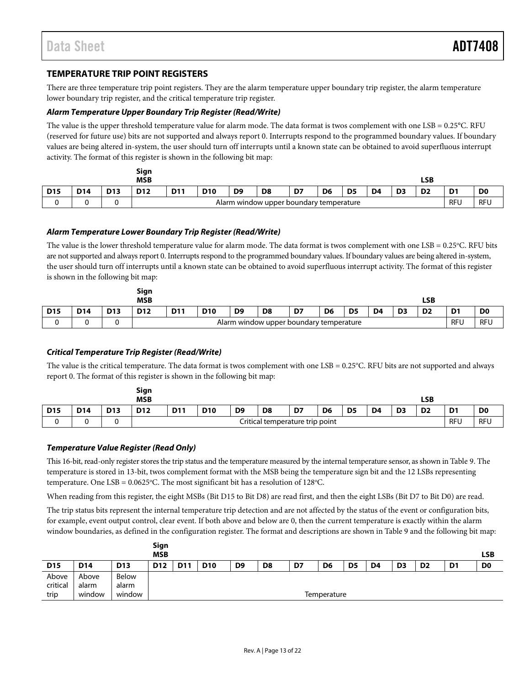#### <span id="page-12-0"></span>**TEMPERATURE TRIP POINT REGISTERS**

There are three temperature trip point registers. They are the alarm temperature upper boundary trip register, the alarm temperature lower boundary trip register, and the critical temperature trip register.

#### *Alarm Temperature Upper Boundary Trip Register (Read/Write)*

The value is the upper threshold temperature value for alarm mode. The data format is twos complement with one LSB = 0.25°C. RFU (reserved for future use) bits are not supported and always report 0. Interrupts respond to the programmed boundary values. If boundary values are being altered in-system, the user should turn off interrupts until a known state can be obtained to avoid superfluous interrupt activity. The format of this register is shown in the following bit map:

|            |                 |                 | Sign<br><b>MSB</b> |                                         |            |                |                |    |                |                |                |                | LSB            |                |                |
|------------|-----------------|-----------------|--------------------|-----------------------------------------|------------|----------------|----------------|----|----------------|----------------|----------------|----------------|----------------|----------------|----------------|
| <b>D15</b> | D <sub>14</sub> | D <sub>13</sub> | D <sub>12</sub>    | <b>D11</b>                              | <b>D10</b> | D <sub>9</sub> | D <sub>8</sub> | D7 | D <sub>6</sub> | D <sub>5</sub> | D <sub>4</sub> | D <sub>3</sub> | D <sub>2</sub> | D <sub>1</sub> | D <sub>0</sub> |
|            |                 |                 |                    | Alarm window upper boundary temperature |            |                |                |    |                |                |                |                | <b>RFU</b>     | <b>RFU</b>     |                |

#### <span id="page-12-2"></span>*Alarm Temperature Lower Boundary Trip Register (Read/Write)*

The value is the lower threshold temperature value for alarm mode. The data format is twos complement with one LSB = 0.25°C. RFU bits are not supported and always report 0. Interrupts respond to the programmed boundary values. If boundary values are being altered in-system, the user should turn off interrupts until a known state can be obtained to avoid superfluous interrupt activity. The format of this register is shown in the following bit map:

|            |            |            | Sign<br><b>MSB</b>                      |            |            |                |                |    |                |                |                |                | LSB            |                |                |
|------------|------------|------------|-----------------------------------------|------------|------------|----------------|----------------|----|----------------|----------------|----------------|----------------|----------------|----------------|----------------|
| <b>D15</b> | <b>D14</b> | <b>D13</b> | D <sub>12</sub>                         | <b>D11</b> | <b>D10</b> | D <sub>9</sub> | D <sub>8</sub> | D7 | D <sub>6</sub> | D <sub>5</sub> | D <sub>4</sub> | D <sub>3</sub> | D <sub>2</sub> | D <sub>1</sub> | D <sub>0</sub> |
|            |            |            | Alarm window upper boundary temperature |            |            |                |                |    |                |                |                | <b>RFU</b>     | RFU            |                |                |

#### <span id="page-12-3"></span>*Critical Temperature Trip Register (Read/Write)*

The value is the critical temperature. The data format is twos complement with one  $LSB = 0.25^{\circ}C$ . RFU bits are not supported and always report 0. The format of this register is shown in the following bit map:

|            |            |                 | Sign<br><b>MSB</b>              |            |            |                |                |    |                |                |    |                | LSB            |                |                |
|------------|------------|-----------------|---------------------------------|------------|------------|----------------|----------------|----|----------------|----------------|----|----------------|----------------|----------------|----------------|
| <b>D15</b> | <b>D14</b> | D <sub>13</sub> | <b>D12</b>                      | <b>D11</b> | <b>D10</b> | D <sub>9</sub> | D <sub>8</sub> | D7 | D <sub>6</sub> | D <sub>5</sub> | D4 | D <sub>3</sub> | D <sub>2</sub> | D <sub>1</sub> | D <sub>0</sub> |
|            |            |                 | Critical temperature trip point |            |            |                |                |    |                |                |    | RFL            | <b>RFU</b>     |                |                |

#### <span id="page-12-1"></span>*Temperature Value Register (Read Only)*

This 16-bit, read-only register stores the trip status and the temperature measured by the internal temperature sensor, as shown i[n Table 9.](#page-13-1) The temperature is stored in 13-bit, twos complement format with the MSB being the temperature sign bit and the 12 LSBs representing temperature. One LSB = 0.0625°C. The most significant bit has a resolution of 128°C.

When reading from this register, the eight MSBs (Bit D15 to Bit D8) are read first, and then the eight LSBs (Bit D7 to Bit D0) are read.

The trip status bits represent the internal temperature trip detection and are not affected by the status of the event or configuration bits, for example, event output control, clear event. If both above and below are 0, then the current temperature is exactly within the alarm window boundaries, as defined in the configuration register. The format and descriptions are shown i[n Table 9](#page-13-1) and the following bit map:

|                 |            |                 | Sign       |             |            |                |                |    |                |                |    |                |                |                |                |
|-----------------|------------|-----------------|------------|-------------|------------|----------------|----------------|----|----------------|----------------|----|----------------|----------------|----------------|----------------|
|                 |            |                 | <b>MSB</b> |             |            |                |                |    |                |                |    |                |                |                | <b>LSB</b>     |
| D <sub>15</sub> | <b>D14</b> | D <sub>13</sub> | <b>D12</b> | <b>D11</b>  | <b>D10</b> | D <sub>9</sub> | D <sub>8</sub> | D7 | D <sub>6</sub> | D <sub>5</sub> | D4 | D <sub>3</sub> | D <sub>2</sub> | D <sub>1</sub> | D <sub>0</sub> |
| Above           | Above      | Below           |            |             |            |                |                |    |                |                |    |                |                |                |                |
| critical        | alarm      | alarm           |            |             |            |                |                |    |                |                |    |                |                |                |                |
| trip            | window     | window          |            | Temperature |            |                |                |    |                |                |    |                |                |                |                |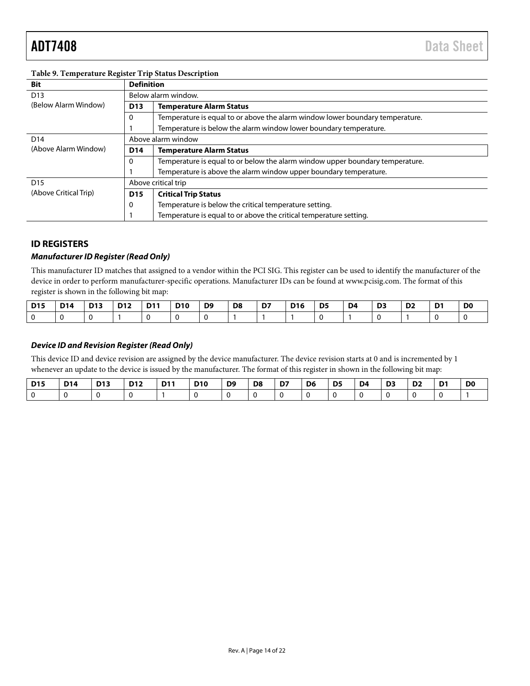| <b>Bit</b>            | <b>Definition</b> |                                                                               |
|-----------------------|-------------------|-------------------------------------------------------------------------------|
| D <sub>13</sub>       |                   | Below alarm window.                                                           |
| (Below Alarm Window)  | D <sub>13</sub>   | <b>Temperature Alarm Status</b>                                               |
|                       | 0                 | Temperature is equal to or above the alarm window lower boundary temperature. |
|                       |                   | Temperature is below the alarm window lower boundary temperature.             |
| D <sub>14</sub>       |                   | Above alarm window                                                            |
| (Above Alarm Window)  | D <sub>14</sub>   | <b>Temperature Alarm Status</b>                                               |
|                       | 0                 | Temperature is equal to or below the alarm window upper boundary temperature. |
|                       |                   | Temperature is above the alarm window upper boundary temperature.             |
| D <sub>15</sub>       |                   | Above critical trip                                                           |
| (Above Critical Trip) | D <sub>15</sub>   | <b>Critical Trip Status</b>                                                   |
|                       | 0                 | Temperature is below the critical temperature setting.                        |
|                       |                   | Temperature is equal to or above the critical temperature setting.            |

#### <span id="page-13-1"></span>**Table 9. Temperature Register Trip Status Description**

#### <span id="page-13-0"></span>**ID REGISTERS**

#### *Manufacturer ID Register (Read Only)*

This manufacturer ID matches that assigned to a vendor within the PCI SIG. This register can be used to identify the manufacturer of the device in order to perform manufacturer-specific operations. Manufacturer IDs can be found a[t www.pcisig.com.](http://www.pcisig.com/) The format of this register is shown in the following bit map:

| <b>D15</b> | <b>D14</b> | <b>D13</b> | <b>D12</b> | $ $ D <sub>11</sub> | <b>D10</b> | $\overline{D9}$ | D8 | D7 | <b>D16</b> | $\overline{5}$ | D4 | D <sub>3</sub> | D <sub>2</sub> | D <sub>0</sub> |
|------------|------------|------------|------------|---------------------|------------|-----------------|----|----|------------|----------------|----|----------------|----------------|----------------|
|            |            |            |            |                     |            |                 |    |    |            |                |    |                |                |                |

#### *Device ID and Revision Register (Read Only)*

This device ID and device revision are assigned by the device manufacturer. The device revision starts at 0 and is incremented by 1 whenever an update to the device is issued by the manufacturer. The format of this register in shown in the following bit map:

| <b>D15</b> | <b>D14</b> | <b>D13</b> | <b>D12</b> | <b>D11</b> | <b>D10</b> | D9 | D8 | D7 | D <sub>6</sub> | D5 | D4 | D3 | D <sub>2</sub> | D <sub>1</sub> | D0 |
|------------|------------|------------|------------|------------|------------|----|----|----|----------------|----|----|----|----------------|----------------|----|
|            |            |            |            |            |            |    |    |    |                |    |    |    |                |                |    |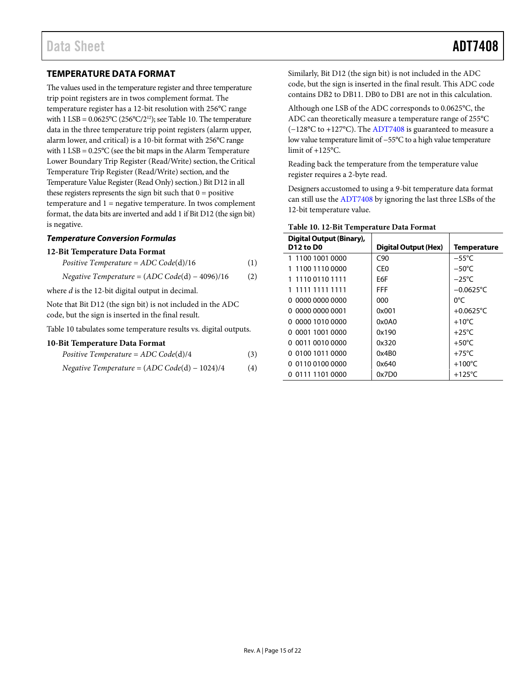#### <span id="page-14-0"></span>**TEMPERATURE DATA FORMAT**

The values used in the temperature register and three temperature trip point registers are in twos complement format. The temperature register has a 12-bit resolution with 256°C range with 1 LSB =  $0.0625^{\circ}C(256^{\circ}C/2^{12})$ ; se[e Table 10.](#page-14-1) The temperature data in the three temperature trip point registers (alarm upper, alarm lower, and critical) is a 10-bit format with 256°C range with 1 LSB = 0.25°C (see the bit maps in th[e Alarm Temperature](#page-12-2)  [Lower Boundary Trip Register \(Read/Write\)](#page-12-2) section, th[e Critical](#page-12-3)  [Temperature Trip Register \(Read/Write\)](#page-12-3) section, and the Temperature Value Register (Read Only) section.) Bit D12 in all these registers represents the sign bit such that  $0 =$  positive temperature and  $1$  = negative temperature. In twos complement format, the data bits are inverted and add 1 if Bit D12 (the sign bit) is negative.

#### *Temperature Conversion Formulas*

#### **12-Bit Temperature Data Format**

| Positive Temperature = $ADC Code(d)/16$ | $\left(1\right)$ |  |  |
|-----------------------------------------|------------------|--|--|
|-----------------------------------------|------------------|--|--|

*Negative Temperature* = (*ADC Code*(d) − 4096)/16 (2)

where *d* is the 12-bit digital output in decimal.

Note that Bit D12 (the sign bit) is not included in the ADC code, but the sign is inserted in the final result.

[Table 10](#page-14-1) tabulates some temperature results vs. digital outputs.

#### **10-Bit Temperature Data Format**

| Positive Temperature = $ADC Code(d)/4$ |  |
|----------------------------------------|--|
|                                        |  |

Negative Temperature = 
$$
(ADC Code(d) - 1024)/4
$$
 (4)

Similarly, Bit D12 (the sign bit) is not included in the ADC code, but the sign is inserted in the final result. This ADC code contains DB2 to DB11. DB0 to DB1 are not in this calculation.

Although one LSB of the ADC corresponds to 0.0625°C, the ADC can theoretically measure a temperature range of 255°C (−128°C to +127°C). Th[e ADT7408](http://www.analog.com/ADT7408?doc=ADT7408.pdf) is guaranteed to measure a low value temperature limit of −55°C to a high value temperature limit of +125°C.

Reading back the temperature from the temperature value register requires a 2-byte read.

Designers accustomed to using a 9-bit temperature data format can still use th[e ADT7408](http://www.analog.com/ADT7408?doc=ADT7408.pdf) by ignoring the last three LSBs of the 12-bit temperature value.

| Digital Output (Binary),<br><b>D12 to D0</b> | Digital Output (Hex) | <b>Temperature</b>  |
|----------------------------------------------|----------------------|---------------------|
| 1 1100 1001 0000                             | C <sub>90</sub>      | $-55^{\circ}$ C     |
| 1 1100 1110 0000                             | CF <sub>0</sub>      | $-50^{\circ}$ C     |
| 1 1110 0110 1111                             | E6F                  | $-25^{\circ}$ C     |
| 1 1111 1111 1111                             | FFF                  | $-0.0625^{\circ}$ C |
| 0 0000 0000 0000                             | 000                  | 0°C                 |
| 0 0000 0000 0001                             | 0x001                | $+0.0625$ °C        |
| 0 0000 1010 0000                             | 0x0A0                | $+10^{\circ}$ C     |
| 0.0001.1001.0000                             | 0x190                | $+25^{\circ}$ C     |
| 0 0011 0010 0000                             | 0x320                | $+50^{\circ}$ C     |
| 0 0100 1011 0000                             | 0x4B0                | $+75^{\circ}$ C     |
| 0.0110.0100.0000                             | 0x640                | $+100^{\circ}$ C    |
| 0 0111 1101 0000                             | 0x7D0                | $+125^{\circ}$ C    |

#### <span id="page-14-1"></span>**Table 10. 12-Bit Temperature Data Format**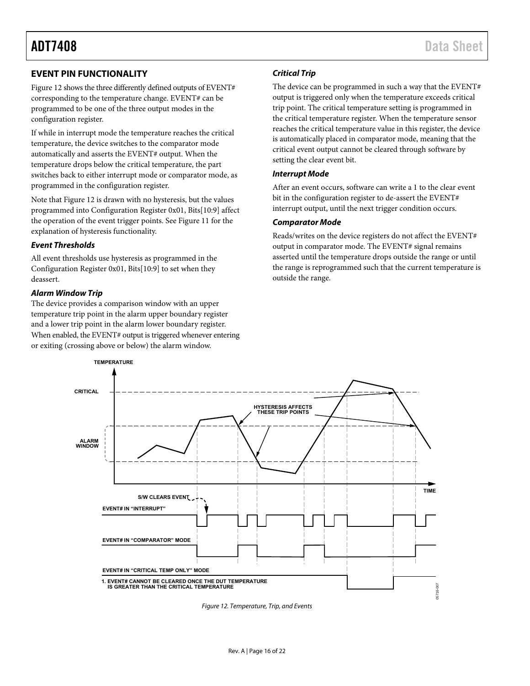#### <span id="page-15-0"></span>**EVENT PIN FUNCTIONALITY**

[Figure 12 s](#page-15-1)hows the three differently defined outputs of EVENT# corresponding to the temperature change. EVENT# can be programmed to be one of the three output modes in the configuration register.

If while in interrupt mode the temperature reaches the critical temperature, the device switches to the comparator mode automatically and asserts the EVENT# output. When the temperature drops below the critical temperature, the part switches back to either interrupt mode or comparator mode, as programmed in the configuration register.

Note tha[t Figure 12 i](#page-15-1)s drawn with no hysteresis, but the values programmed into Configuration Register 0x01, Bits[10:9] affect the operation of the event trigger points. See [Figure 11 f](#page-11-0)or the explanation of hysteresis functionality.

#### **Event Thresholds**

All event thresholds use hysteresis as programmed in the Configuration Register 0x01, Bits[10:9] to set when they deassert.

#### **Alarm Window Trip**

The device provides a comparison window with an upper temperature trip point in the alarm upper boundary register and a lower trip point in the alarm lower boundary register. When enabled, the EVENT# output is triggered whenever entering or exiting (crossing above or below) the alarm window.

#### **Critical Trip**

The device can be programmed in such a way that the EVENT# output is triggered only when the temperature exceeds critical trip point. The critical temperature setting is programmed in the critical temperature register. When the temperature sensor reaches the critical temperature value in this register, the device is automatically placed in comparator mode, meaning that the critical event output cannot be cleared through software by setting the clear event bit.

#### **Interrupt Mode**

After an event occurs, software can write a 1 to the clear event bit in the configuration register to de-assert the EVENT# interrupt output, until the next trigger condition occurs.

#### **Comparator Mode**

Reads/writes on the device registers do not affect the EVENT# output in comparator mode. The EVENT# signal remains asserted until the temperature drops outside the range or until the range is reprogrammed such that the current temperature is outside the range.



<span id="page-15-1"></span>Figure 12. Temperature, Trip, and Events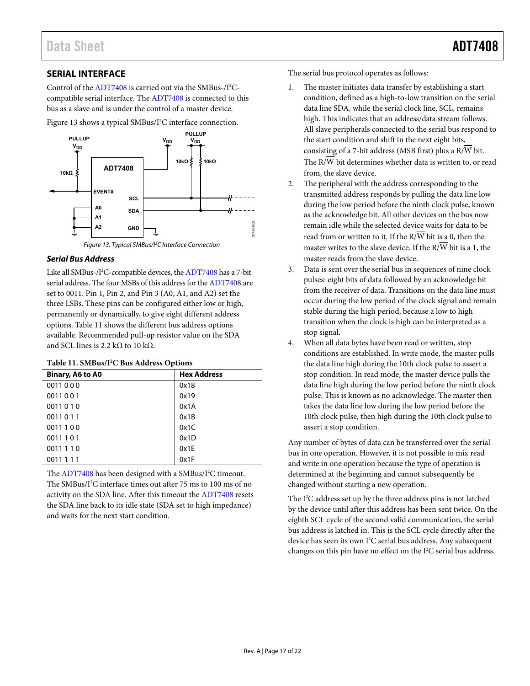#### <span id="page-16-0"></span>**SERIAL INTERFACE**

Control of the [ADT7408 i](http://www.analog.com/ADT7408?doc=ADT7408.pdf)s carried out via the SMBus-/I<sup>2</sup>Ccompatible serial interface. The [ADT7408](http://www.analog.com/ADT7408?doc=ADT7408.pdf) is connected to this bus as a slave and is under the control of a master device.

[Figure 13 s](#page-16-1)hows a typical SMBus/I<sup>2</sup>C interface connection.



#### <span id="page-16-1"></span>**Serial Bus Address**

Like all SMBus-/I<sup>2</sup>C-compatible devices, th[e ADT7408](http://www.analog.com/ADT7408?doc=ADT7408.pdf) has a 7-bit serial address. The four MSBs of this address for th[e ADT7408 a](http://www.analog.com/ADT7408?doc=ADT7408.pdf)re set to 0011. Pin 1, Pin 2, and Pin 3 (A0, A1, and A2) set the three LSBs. These pins can be configured either low or high, permanently or dynamically, to give eight different address options. [Table 11 s](#page-16-2)hows the different bus address options available. Recommended pull-up resistor value on the SDA and SCL lines is 2.2 kΩ to 10 kΩ.

#### <span id="page-16-2"></span>**Table 11. SMBus/I2 C Bus Address Options**

| -                |                    |  |  |  |
|------------------|--------------------|--|--|--|
| Binary, A6 to A0 | <b>Hex Address</b> |  |  |  |
| 0011000          | 0x18               |  |  |  |
| 0011001          | 0x19               |  |  |  |
| 0011010          | 0x1A               |  |  |  |
| 0011011          | 0x1B               |  |  |  |
| 0011100          | 0x1C               |  |  |  |
| 0011 1 0 1       | 0x1D               |  |  |  |
| 0011110          | 0x1E               |  |  |  |
| 0011 1 1 1       | 0x1F               |  |  |  |

The [ADT7408](http://www.analog.com/ADT7408?doc=ADT7408.pdf) has been designed with a SMBus/I<sup>2</sup>C timeout. The SMBus/I<sup>2</sup>C interface times out after 75 ms to 100 ms of no activity on the SDA line. After this timeout th[e ADT7408 r](http://www.analog.com/ADT7408?doc=ADT7408.pdf)esets the SDA line back to its idle state (SDA set to high impedance) and waits for the next start condition.

The serial bus protocol operates as follows:

- The master initiates data transfer by establishing a start condition, defined as a high-to-low transition on the serial data line SDA, while the serial clock line, SCL, remains high. This indicates that an address/data stream follows. All slave peripherals connected to the serial bus respond to the start condition and shift in the next eight bits, consisting of a 7-bit address (MSB first) plus a R/W bit. The R/W bit determines whether data is written to, or read from, the slave device.
- 2. The peripheral with the address corresponding to the transmitted address responds by pulling the data line low during the low period before the ninth clock pulse, known as the acknowledge bit. All other devices on the bus now remain idle while the selected device waits for data to be read from or written to it. If the  $R/\overline{W}$  bit is a 0, then the master writes to the slave device. If the  $R/\overline{W}$  bit is a 1, the master reads from the slave device.
- 3. Data is sent over the serial bus in sequences of nine clock pulses: eight bits of data followed by an acknowledge bit from the receiver of data. Transitions on the data line must occur during the low period of the clock signal and remain stable during the high period, because a low to high transition when the clock is high can be interpreted as a stop signal.
- When all data bytes have been read or written, stop conditions are established. In write mode, the master pulls the data line high during the 10th clock pulse to assert a stop condition. In read mode, the master device pulls the data line high during the low period before the ninth clock pulse. This is known as no acknowledge. The master then takes the data line low during the low period before the 10th clock pulse, then high during the 10th clock pulse to assert a stop condition.

Any number of bytes of data can be transferred over the serial bus in one operation. However, it is not possible to mix read and write in one operation because the type of operation is determined at the beginning and cannot subsequently be changed without starting a new operation.

The I<sup>2</sup>C address set up by the three address pins is not latched by the device until after this address has been sent twice. On the eighth SCL cycle of the second valid communication, the serial bus address is latched in. This is the SCL cycle directly after the device has seen its own I<sup>2</sup>C serial bus address. Any subsequent changes on this pin have no effect on the I<sup>2</sup>C serial bus address.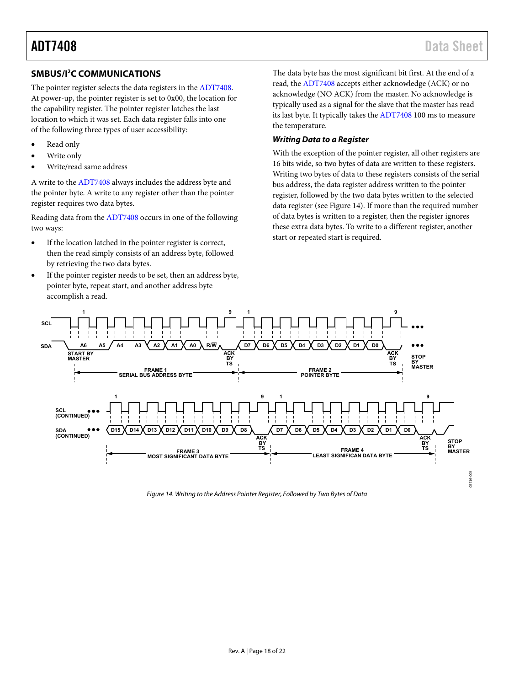#### <span id="page-17-0"></span>**SMBUS/I2 C COMMUNICATIONS**

The pointer register selects the data registers in th[e ADT7408.](http://www.analog.com/ADT7408?doc=ADT7408.pdf)  At power-up, the pointer register is set to 0x00, the location for the capability register. The pointer register latches the last location to which it was set. Each data register falls into one of the following three types of user accessibility:

- Read only
- Write only
- Write/read same address

A write to th[e ADT7408](http://www.analog.com/ADT7408?doc=ADT7408.pdf) always includes the address byte and the pointer byte. A write to any register other than the pointer register requires two data bytes.

Reading data from the [ADT7408 o](http://www.analog.com/ADT7408?doc=ADT7408.pdf)ccurs in one of the following two ways:

- If the location latched in the pointer register is correct, then the read simply consists of an address byte, followed by retrieving the two data bytes.
- If the pointer register needs to be set, then an address byte, pointer byte, repeat start, and another address byte accomplish a read.

The data byte has the most significant bit first. At the end of a read, the [ADT7408](http://www.analog.com/ADT7408?doc=ADT7408.pdf) accepts either acknowledge (ACK) or no acknowledge (NO ACK) from the master. No acknowledge is typically used as a signal for the slave that the master has read its last byte. It typically takes the [ADT7408](http://www.analog.com/ADT7408?doc=ADT7408.pdf) 100 ms to measure the temperature.

#### **Writing Data to a Register**

With the exception of the pointer register, all other registers are 16 bits wide, so two bytes of data are written to these registers. Writing two bytes of data to these registers consists of the serial bus address, the data register address written to the pointer register, followed by the two data bytes written to the selected data register (see [Figure 14\)](#page-17-1). If more than the required number of data bytes is written to a register, then the register ignores these extra data bytes. To write to a different register, another start or repeated start is required.



<span id="page-17-1"></span>Figure 14. Writing to the Address Pointer Register, Followed by Two Bytes of Data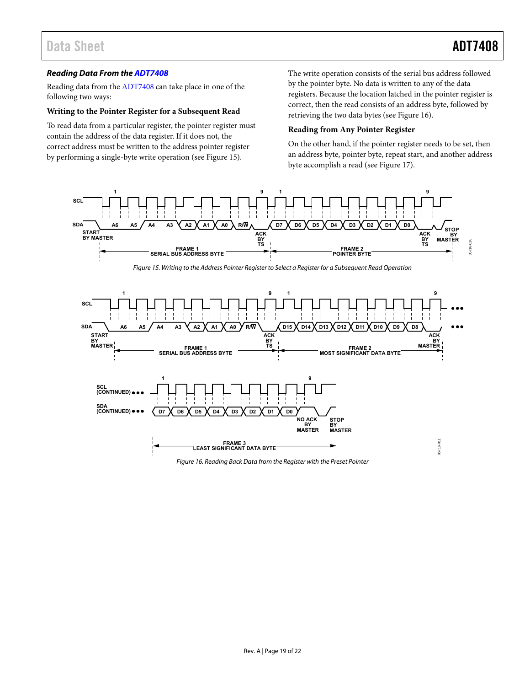#### **Reading Data From th[e ADT7408](http://www.analog.com/ADT7408?doc=ADT7408.pdf)**

Reading data from the [ADT7408 c](http://www.analog.com/ADT7408?doc=ADT7408.pdf)an take place in one of the following two ways:

#### **Writing to the Pointer Register for a Subsequent Read**

To read data from a particular register, the pointer register must contain the address of the data register. If it does not, the correct address must be written to the address pointer register by performing a single-byte write operation (se[e Figure 15\)](#page-18-0).

The write operation consists of the serial bus address followed by the pointer byte. No data is written to any of the data registers. Because the location latched in the pointer register is correct, then the read consists of an address byte, followed by retrieving the two data bytes (see [Figure 16\)](#page-18-1).

#### **Reading from Any Pointer Register**

On the other hand, if the pointer register needs to be set, then an address byte, pointer byte, repeat start, and another address byte accomplish a read (se[e Figure 17\)](#page-19-0).

<span id="page-18-1"></span><span id="page-18-0"></span>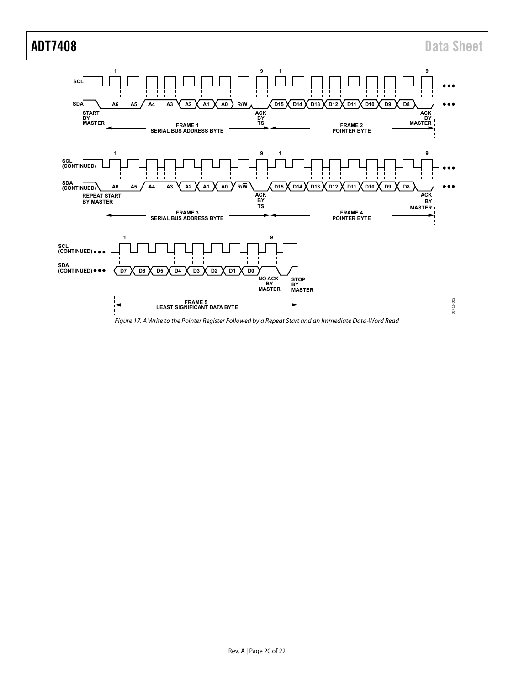

<span id="page-19-0"></span>Figure 17. A Write to the Pointer Register Followed by a Repeat Start and an Immediate Data-Word Read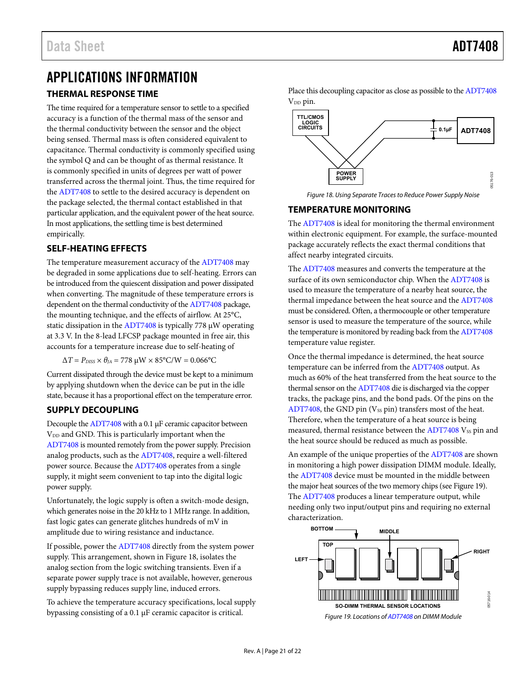# <span id="page-20-0"></span>APPLICATIONS INFORMATION

#### <span id="page-20-1"></span>**THERMAL RESPONSE TIME**

The time required for a temperature sensor to settle to a specified accuracy is a function of the thermal mass of the sensor and the thermal conductivity between the sensor and the object being sensed. Thermal mass is often considered equivalent to capacitance. Thermal conductivity is commonly specified using the symbol Q and can be thought of as thermal resistance. It is commonly specified in units of degrees per watt of power transferred across the thermal joint. Thus, the time required for the [ADT7408](http://www.analog.com/ADT7408?doc=ADT7408.pdf) to settle to the desired accuracy is dependent on the package selected, the thermal contact established in that particular application, and the equivalent power of the heat source. In most applications, the settling time is best determined empirically.

#### <span id="page-20-2"></span>**SELF-HEATING EFFECTS**

The temperature measurement accuracy of the [ADT7408 m](http://www.analog.com/ADT7408?doc=ADT7408.pdf)ay be degraded in some applications due to self-heating. Errors can be introduced from the quiescent dissipation and power dissipated when converting. The magnitude of these temperature errors is dependent on the thermal conductivity of th[e ADT7408](http://www.analog.com/ADT7408?doc=ADT7408.pdf) package, the mounting technique, and the effects of airflow. At 25°C, static dissipation in th[e ADT7408 i](http://www.analog.com/ADT7408?doc=ADT7408.pdf)s typically 778 μW operating at 3.3 V. In the 8-lead LFCSP package mounted in free air, this accounts for a temperature increase due to self-heating of

 $\Delta T = P_{DISS} \times θ_{JA} = 778 \mu W \times 85^{\circ} C/W = 0.066^{\circ}C$ 

Current dissipated through the device must be kept to a minimum by applying shutdown when the device can be put in the idle state, because it has a proportional effect on the temperature error.

### <span id="page-20-3"></span>**SUPPLY DECOUPLING**

Decouple th[e ADT7408](http://www.analog.com/ADT7408?doc=ADT7408.pdf) with a 0.1 μF ceramic capacitor between  $V_{DD}$  and GND. This is particularly important when the [ADT7408 i](http://www.analog.com/ADT7408?doc=ADT7408.pdf)s mounted remotely from the power supply. Precision analog products, such as the [ADT7408,](http://www.analog.com/ADT7408?doc=ADT7408.pdf) require a well-filtered power source. Because the [ADT7408 o](http://www.analog.com/ADT7408?doc=ADT7408.pdf)perates from a single supply, it might seem convenient to tap into the digital logic power supply.

Unfortunately, the logic supply is often a switch-mode design, which generates noise in the 20 kHz to 1 MHz range. In addition, fast logic gates can generate glitches hundreds of mV in amplitude due to wiring resistance and inductance.

If possible, power the [ADT7408 d](http://www.analog.com/ADT7408?doc=ADT7408.pdf)irectly from the system power supply. This arrangement, shown i[n Figure 18,](#page-20-5) isolates the analog section from the logic switching transients. Even if a separate power supply trace is not available, however, generous supply bypassing reduces supply line, induced errors.

To achieve the temperature accuracy specifications, local supply bypassing consisting of a 0.1 μF ceramic capacitor is critical.

Place this decoupling capacitor as close as possible to the [ADT7408](http://www.analog.com/ADT7408?doc=ADT7408.pdf)  $V_{DD}$  pin.



Figure 18. Using Separate Traces to Reduce Power Supply Noise

### <span id="page-20-5"></span><span id="page-20-4"></span>**TEMPERATURE MONITORING**

The [ADT7408](http://www.analog.com/ADT7408?doc=ADT7408.pdf) is ideal for monitoring the thermal environment within electronic equipment. For example, the surface-mounted package accurately reflects the exact thermal conditions that affect nearby integrated circuits.

The [ADT7408](http://www.analog.com/ADT7408?doc=ADT7408.pdf) measures and converts the temperature at the surface of its own semiconductor chip. When the [ADT7408 i](http://www.analog.com/ADT7408?doc=ADT7408.pdf)s used to measure the temperature of a nearby heat source, the thermal impedance between the heat source and th[e ADT7408](http://www.analog.com/ADT7408?doc=ADT7408.pdf) must be considered. Often, a thermocouple or other temperature sensor is used to measure the temperature of the source, while the temperature is monitored by reading back from th[e ADT7408](http://www.analog.com/ADT7408?doc=ADT7408.pdf) temperature value register.

Once the thermal impedance is determined, the heat source temperature can be inferred from the [ADT7408 o](http://www.analog.com/ADT7408?doc=ADT7408.pdf)utput. As much as 60% of the heat transferred from the heat source to the thermal sensor on th[e ADT7408 d](http://www.analog.com/ADT7408?doc=ADT7408.pdf)ie is discharged via the copper tracks, the package pins, and the bond pads. Of the pins on the [ADT7408,](http://www.analog.com/ADT7408?doc=ADT7408.pdf) the GND pin  $(V_{SS}$  pin) transfers most of the heat. Therefore, when the temperature of a heat source is being measured, thermal resistance between the  $ADT7408$  V<sub>SS</sub> pin and the heat source should be reduced as much as possible.

An example of the unique properties of the [ADT7408 a](http://www.analog.com/ADT7408?doc=ADT7408.pdf)re shown in monitoring a high power dissipation DIMM module. Ideally, the [ADT7408](http://www.analog.com/ADT7408?doc=ADT7408.pdf) device must be mounted in the middle between the major heat sources of the two memory chips (se[e Figure 19\)](#page-20-6). The [ADT7408](http://www.analog.com/ADT7408?doc=ADT7408.pdf) produces a linear temperature output, while needing only two input/output pins and requiring no external characterization.



<span id="page-20-6"></span>Figure 19. Locations o[f ADT7408 o](http://www.analog.com/ADT7408?doc=ADT7408.pdf)n DIMM Module